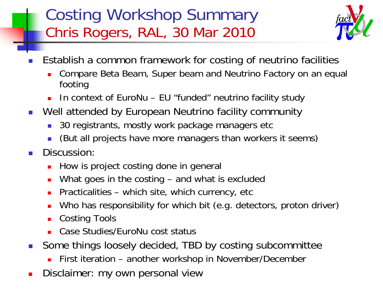#### Costing Workshop Summary Chris Rogers, RAL, 30 Mar 2010



- M. Establish a common framework for costing of neutrino facilities
	- П Compare Beta Beam, Super beam and Neutrino Factory on an equal footing
	- П In context of EuroNu – EU "funded" neutrino facility study
- Well attended by European Neutrino facility community
	- Г 30 registrants, mostly work package managers etc
	- Г (But all projects have more managers than workers it seems)
- $\mathcal{O}(\mathbb{R})$  Discussion:
	- Ξ How is project costing done in general
	- What goes in the costing and what is excluded
	- Practicalities which site, which currency, etc
	- Who has responsibility for which bit (e.g. detectors, proton driver)
	- Ξ Costing Tools
	- L. Case Studies/EuroNu cost status
- $\overline{\phantom{a}}$  Some things loosely decided, TBD by costing subcommittee
	- П First iteration – another workshop in November/December
- П Disclaimer: my own personal view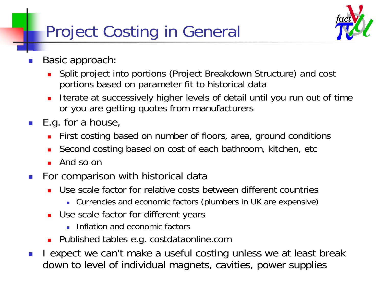# Project Costing in General



- M. Basic approach:
	- П Split project into portions (Project Breakdown Structure) and cost portions based on parameter fit to historical data
	- П Iterate at successively higher levels of detail until you run out of time or you are getting quotes from manufacturers
- $\mathcal{L}(\mathcal{A})$  E.g. for a house,
	- First costing based on number of floors, area, ground conditions
	- Second costing based on cost of each bathroom, kitchen, etc
	- П And so on
- $\left\vert \cdot\right\vert$  For comparison with historical data
	- Use scale factor for relative costs between different countries
		- Currencies and economic factors (plumbers in UK are expensive)
	- **Deam** Use scale factor for different years
		- **Inflation and economic factors**
	- Published tables e.g. costdataonline.com
- $\mathbb{R}^3$  I expect we can't make a useful costing unless we at least break down to level of individual magnets, cavities, power supplies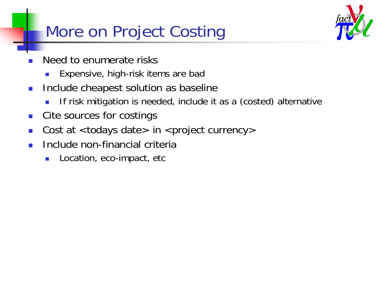## More on Project Costing



- M. Need to enumerate risks
	- $\mathbb{R}^3$ Expensive, high-risk items are bad
- $\mathcal{A}$  Include cheapest solution as baseline
	- Π If risk mitigation is needed, include it as a (costed) alternative
- $\mathcal{O}^{\mathcal{A}}$ Cite sources for costings
- P. Cost at  $<$  todays date $>$  in  $<$  project currency $>$
- P. Include non-financial criteria
	- L. Location, eco-impact, etc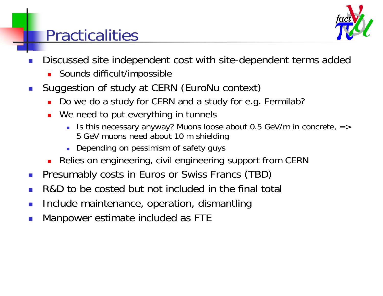#### Practicalities



- M. Discussed site independent cost with site-dependent terms added
	- П Sounds difficult/impossible
- $\mathbb{R}^3$  Suggestion of study at CERN (EuroNu context)
	- Ξ Do we do a study for CERN and a study for e.g. Fermilab?
	- We need to put everything in tunnels
		- Is this necessary anyway? Muons loose about 0.5 GeV/m in concrete, => 5 GeV muons need about 10 m shielding
		- **Depending on pessimism of safety guys**
	- Relies on engineering, civil engineering support from CERN
- $\mathcal{C}^{\mathcal{A}}$ Presumably costs in Euros or Swiss Francs (TBD)
- P. R&D to be costed but not included in the final total
- M. Include maintenance, operation, dismantling
- P. Manpower estimate included as FTE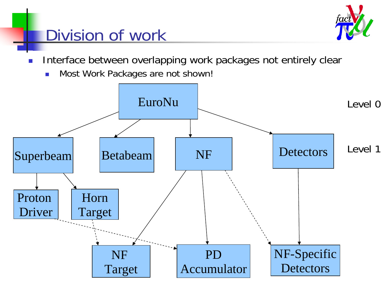

### Division of work

- M. Interface between overlapping work packages not entirely clear
	- $\mathcal{L}_{\mathcal{A}}$ Most Work Packages are not shown!

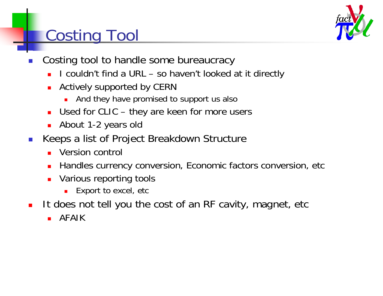## Costing Tool

- M. Costing tool to handle some bureaucracy
	- П I couldn't find a URL – so haven't looked at it directly
	- П Actively supported by CERN
		- П And they have promised to support us also
	- Used for CLIC they are keen for more users
	- **About 1-2 years old**
- $\mathbb{R}^3$  Keeps a list of Project Breakdown Structure
	- Ξ Version control
	- Ξ Handles currency conversion, Economic factors conversion, etc
	- П Various reporting tools
		- ▉ Export to excel, etc
- $\blacksquare$  It does not tell you the cost of an RF cavity, magnet, etc
	- $\mathbf{r}$ AFAIK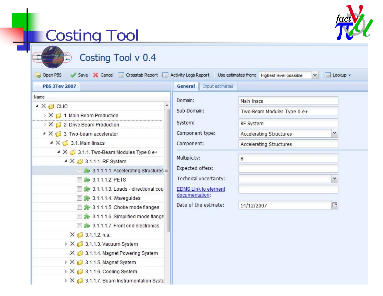

# Costing Tool

| <b>PBS 3Tev 2007</b>                                                       | <b>General</b><br>Input estimates |                                |
|----------------------------------------------------------------------------|-----------------------------------|--------------------------------|
| Name                                                                       | Domain:                           | Main linacs                    |
| $\triangleq$ $\times$ $\triangleleft$ CLIC                                 | Sub-Domain:                       | Two-Beam Modules Type 0 e+     |
| > X 1. Main Beam Production                                                | System:                           |                                |
| $\triangleright$ X $\bigcirc$ 2. Drive Beam Production                     |                                   | RF System                      |
| $\blacktriangleleft$ $\times$ $\Box$ 3. Two-beam accelerator               | Component type:                   | <b>Accelerating Structures</b> |
| $\triangleq$ $\times$ $\Box$ 3.1. Main linacs                              | Component:                        | <b>Accelerating Structures</b> |
| $\blacktriangle$ $\times$ $\blacksquare$ 3.1.1. Two-Beam Modules Type 0 e+ | Multiplicity:                     |                                |
| $\blacktriangle$ $\times$ $\blacksquare$ 3.1.1.1. RF System                |                                   | 8                              |
| 3.1.1.1.1. Accelerating Structures                                         | Expected offers:                  |                                |
| 3.1.1.1.2. PETS                                                            | Technical uncertainty:            | v                              |
| 3.1.1.1.3. Loads - directional cou                                         | <b>EDMS Link to element</b>       |                                |
| $\rightarrow$ 3.1.1.1.4. Waveguides                                        | documentation:                    |                                |
| 3.1.1.1.5. Choke mode flanges                                              | Date of the estimate:             | ⊡<br>14/12/2007                |
| 3.1.1.1.6. Simplified mode flange                                          |                                   |                                |
| 3.1.1.1.7. Front end electronics                                           |                                   |                                |
| $X = 3.1.1.2$ . n.a.                                                       |                                   |                                |
| $\triangleright$ X $\bigcirc$ 3.1.1.3. Vacuum System                       |                                   |                                |
| 3.1.1.4. Magnet Powering System                                            |                                   |                                |
| $\triangleright \times \Box$ 3.1.1.5. Magnet System                        |                                   |                                |
| $\triangleright$ X $\Box$ 3.1.1.6. Cooling System                          |                                   |                                |
| $\triangleright$ X $\bigcirc$ 3.1.1.7. Beam Instrumentation Syste          |                                   |                                |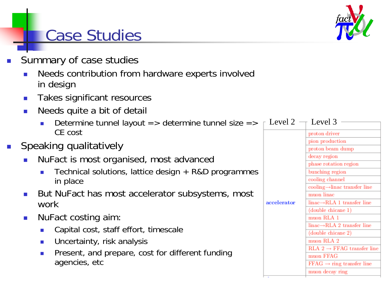### Case Studies

- k. Summary of case studies
	- П Needs contribution from hardware experts involved in design
	- $\mathcal{L}^{\mathcal{L}}$ Takes significant resources
	- П Needs quite a bit of detail
		- $\blacksquare$  Determine tunnel layout => determine tunnel size =>  $\lceil\,$  Level 2  $\lnot\lceil$  Level 3 CE cost
- Π Speaking qualitatively
	- П NuFact is most organised, most advanced
		- P. Technical solutions, lattice design + R&D programmes in place
	- П But NuFact has most accelerator subsystems, most work
	- $\mathcal{L}_{\mathcal{A}}$  NuFact costing aim:
		- P. Capital cost, staff effort, timescale
		- $\mathcal{L}_{\mathcal{A}}$ Uncertainty, risk analysis
		- Present, and prepare, cost for different funding agencies, etc